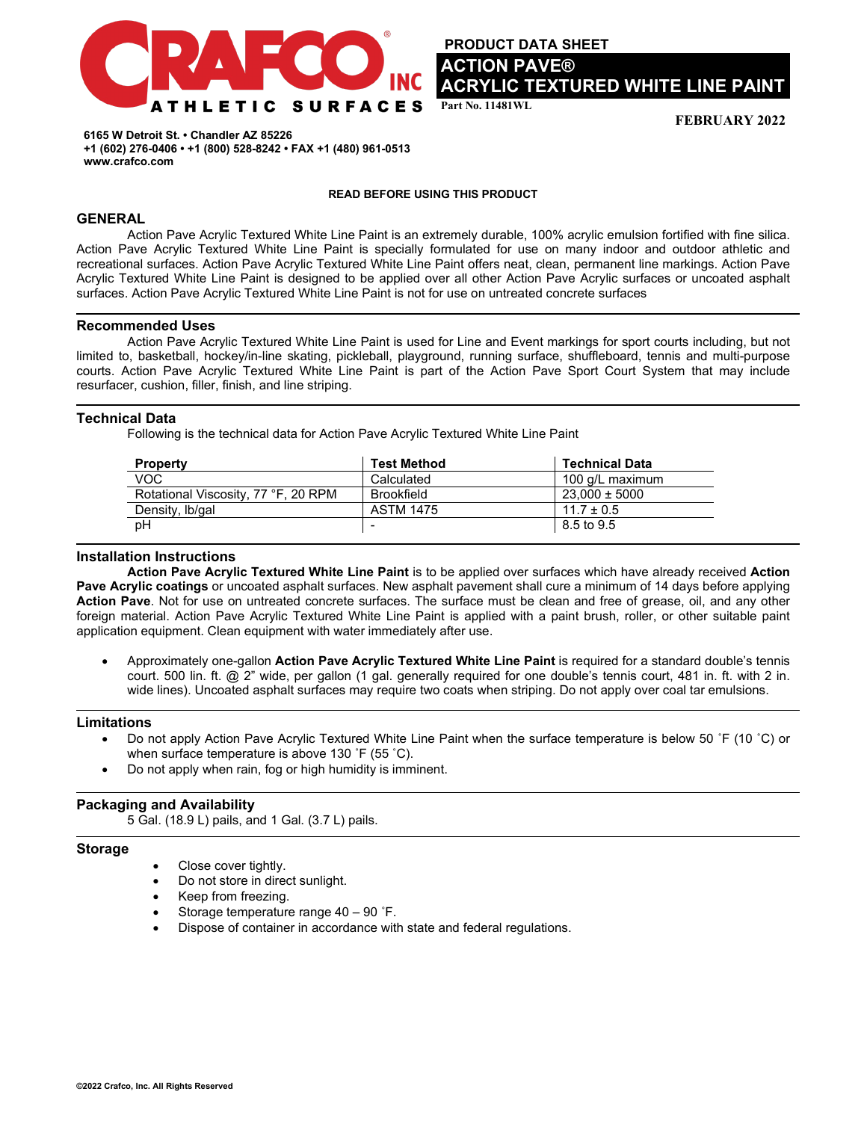

**PRODUCT DATA SHEET ACTION PAVE® ACRYLIC TEXTURED WHITE LINE PAINT** 

**Part No. 11481WL** 

**FEBRUARY 2022**

**6165 W Detroit St. • Chandler AZ 85226 +1 (602) 276-0406 • +1 (800) 528-8242 • FAX +1 (480) 961-0513 www.crafco.com**

#### **READ BEFORE USING THIS PRODUCT**

# **GENERAL**

Action Pave Acrylic Textured White Line Paint is an extremely durable, 100% acrylic emulsion fortified with fine silica. Action Pave Acrylic Textured White Line Paint is specially formulated for use on many indoor and outdoor athletic and recreational surfaces. Action Pave Acrylic Textured White Line Paint offers neat, clean, permanent line markings. Action Pave Acrylic Textured White Line Paint is designed to be applied over all other Action Pave Acrylic surfaces or uncoated asphalt surfaces. Action Pave Acrylic Textured White Line Paint is not for use on untreated concrete surfaces

### **Recommended Uses**

Action Pave Acrylic Textured White Line Paint is used for Line and Event markings for sport courts including, but not limited to, basketball, hockey/in-line skating, pickleball, playground, running surface, shuffleboard, tennis and multi-purpose courts. Action Pave Acrylic Textured White Line Paint is part of the Action Pave Sport Court System that may include resurfacer, cushion, filler, finish, and line striping.

# **Technical Data**

Following is the technical data for Action Pave Acrylic Textured White Line Paint

| <b>Property</b>                     | <b>Test Method</b> | <b>Technical Data</b> |
|-------------------------------------|--------------------|-----------------------|
| VOC                                 | Calculated         | 100 g/L maximum       |
| Rotational Viscosity, 77 °F, 20 RPM | Brookfield         | $23.000 \pm 5000$     |
| Density, Ib/gal                     | <b>ASTM 1475</b>   | $11.7 \pm 0.5$        |
| pH                                  |                    | 8.5 to 9.5            |

## **Installation Instructions**

**Action Pave Acrylic Textured White Line Paint** is to be applied over surfaces which have already received **Action Pave Acrylic coatings** or uncoated asphalt surfaces. New asphalt pavement shall cure a minimum of 14 days before applying **Action Pave**. Not for use on untreated concrete surfaces. The surface must be clean and free of grease, oil, and any other foreign material. Action Pave Acrylic Textured White Line Paint is applied with a paint brush, roller, or other suitable paint application equipment. Clean equipment with water immediately after use.

• Approximately one-gallon **Action Pave Acrylic Textured White Line Paint** is required for a standard double's tennis court. 500 lin. ft. @ 2" wide, per gallon (1 gal. generally required for one double's tennis court, 481 in. ft. with 2 in. wide lines). Uncoated asphalt surfaces may require two coats when striping. Do not apply over coal tar emulsions.

### **Limitations**

- Do not apply Action Pave Acrylic Textured White Line Paint when the surface temperature is below 50 ˚F (10 ˚C) or when surface temperature is above 130 ˚F (55 ˚C).
- Do not apply when rain, fog or high humidity is imminent.

# **Packaging and Availability**

5 Gal. (18.9 L) pails, and 1 Gal. (3.7 L) pails.

# **Storage**

- Close cover tightly.
- Do not store in direct sunlight.
- Keep from freezing.
- Storage temperature range 40 90 ˚F.
- Dispose of container in accordance with state and federal regulations.